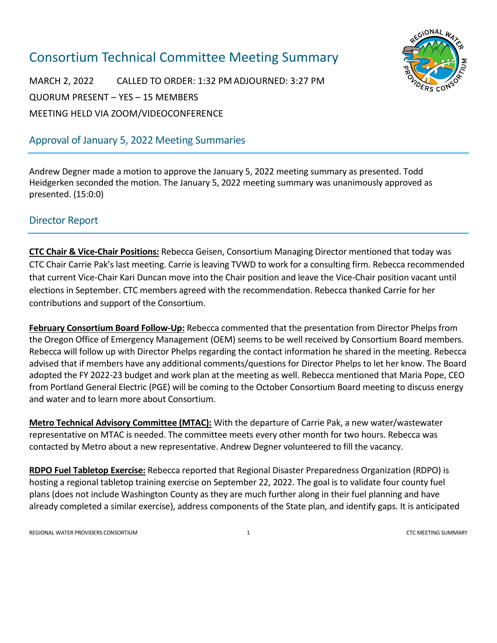# Consortium Technical Committee Meeting Summary



MARCH 2, 2022 CALLED TO ORDER: 1:32 PM ADJOURNED: 3:27 PM QUORUM PRESENT – YES – 15 MEMBERS MEETING HELD VIA ZOOM/VIDEOCONFERENCE

# Approval of January 5, 2022 Meeting Summaries

Andrew Degner made a motion to approve the January 5, 2022 meeting summary as presented. Todd Heidgerken seconded the motion. The January 5, 2022 meeting summary was unanimously approved as presented. (15:0:0)

# Director Report

**CTC Chair & Vice-Chair Positions:** Rebecca Geisen, Consortium Managing Director mentioned that today was CTC Chair Carrie Pak's last meeting. Carrie is leaving TVWD to work for a consulting firm. Rebecca recommended that current Vice-Chair Kari Duncan move into the Chair position and leave the Vice-Chair position vacant until elections in September. CTC members agreed with the recommendation. Rebecca thanked Carrie for her contributions and support of the Consortium.

**February Consortium Board Follow-Up:** Rebecca commented that the presentation from Director Phelps from the Oregon Office of Emergency Management (OEM) seems to be well received by Consortium Board members. Rebecca will follow up with Director Phelps regarding the contact information he shared in the meeting. Rebecca advised that if members have any additional comments/questions for Director Phelps to let her know. The Board adopted the FY 2022-23 budget and work plan at the meeting as well. Rebecca mentioned that Maria Pope, CEO from Portland General Electric (PGE) will be coming to the October Consortium Board meeting to discuss energy and water and to learn more about Consortium.

**Metro Technical Advisory Committee (MTAC):** With the departure of Carrie Pak, a new water/wastewater representative on MTAC is needed. The committee meets every other month for two hours. Rebecca was contacted by Metro about a new representative. Andrew Degner volunteered to fill the vacancy.

**RDPO Fuel Tabletop Exercise:** Rebecca reported that Regional Disaster Preparedness Organization (RDPO) is hosting a regional tabletop training exercise on September 22, 2022. The goal is to validate four county fuel plans (does not include Washington County as they are much further along in their fuel planning and have already completed a similar exercise), address components of the State plan, and identify gaps. It is anticipated

REGIONAL WATER PROVIDERS CONSORTIUM 1 CTC MEETING SUMMARY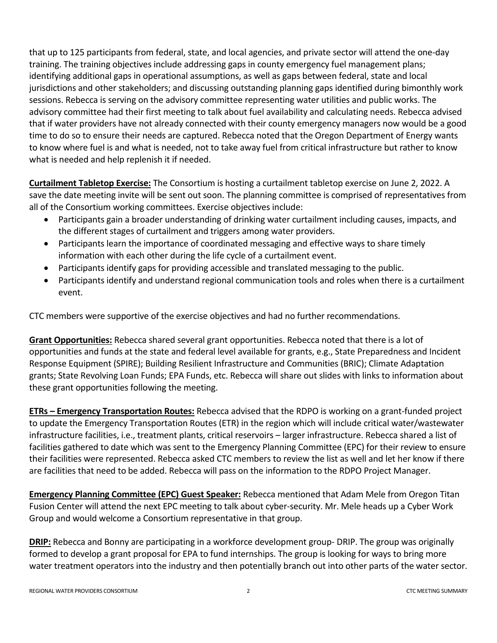that up to 125 participants from federal, state, and local agencies, and private sector will attend the one-day training. The training objectives include addressing gaps in county emergency fuel management plans; identifying additional gaps in operational assumptions, as well as gaps between federal, state and local jurisdictions and other stakeholders; and discussing outstanding planning gaps identified during bimonthly work sessions. Rebecca is serving on the advisory committee representing water utilities and public works. The advisory committee had their first meeting to talk about fuel availability and calculating needs. Rebecca advised that if water providers have not already connected with their county emergency managers now would be a good time to do so to ensure their needs are captured. Rebecca noted that the Oregon Department of Energy wants to know where fuel is and what is needed, not to take away fuel from critical infrastructure but rather to know what is needed and help replenish it if needed.

**Curtailment Tabletop Exercise:** The Consortium is hosting a curtailment tabletop exercise on June 2, 2022. A save the date meeting invite will be sent out soon. The planning committee is comprised of representatives from all of the Consortium working committees. Exercise objectives include:

- Participants gain a broader understanding of drinking water curtailment including causes, impacts, and the different stages of curtailment and triggers among water providers.
- Participants learn the importance of coordinated messaging and effective ways to share timely information with each other during the life cycle of a curtailment event.
- Participants identify gaps for providing accessible and translated messaging to the public.
- Participants identify and understand regional communication tools and roles when there is a curtailment event.

CTC members were supportive of the exercise objectives and had no further recommendations.

**Grant Opportunities:** Rebecca shared several grant opportunities. Rebecca noted that there is a lot of opportunities and funds at the state and federal level available for grants, e.g., State Preparedness and Incident Response Equipment (SPIRE); Building Resilient Infrastructure and Communities (BRIC); Climate Adaptation grants; State Revolving Loan Funds; EPA Funds, etc. Rebecca will share out slides with links to information about these grant opportunities following the meeting.

**ETRs – Emergency Transportation Routes:** Rebecca advised that the RDPO is working on a grant-funded project to update the Emergency Transportation Routes (ETR) in the region which will include critical water/wastewater infrastructure facilities, i.e., treatment plants, critical reservoirs – larger infrastructure. Rebecca shared a list of facilities gathered to date which was sent to the Emergency Planning Committee (EPC) for their review to ensure their facilities were represented. Rebecca asked CTC members to review the list as well and let her know if there are facilities that need to be added. Rebecca will pass on the information to the RDPO Project Manager.

**Emergency Planning Committee (EPC) Guest Speaker:** Rebecca mentioned that Adam Mele from Oregon Titan Fusion Center will attend the next EPC meeting to talk about cyber-security. Mr. Mele heads up a Cyber Work Group and would welcome a Consortium representative in that group.

**DRIP:** Rebecca and Bonny are participating in a workforce development group- DRIP. The group was originally formed to develop a grant proposal for EPA to fund internships. The group is looking for ways to bring more water treatment operators into the industry and then potentially branch out into other parts of the water sector.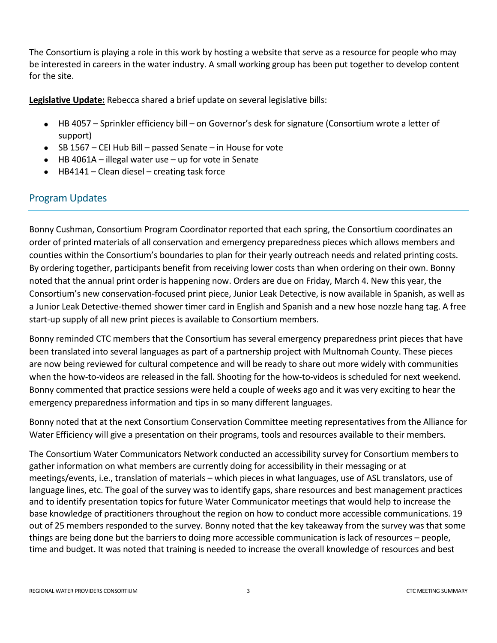The Consortium is playing a role in this work by hosting a website that serve as a resource for people who may be interested in careers in the water industry. A small working group has been put together to develop content for the site.

**Legislative Update:** Rebecca shared a brief update on several legislative bills:

- HB 4057 Sprinkler efficiency bill on Governor's desk for signature (Consortium wrote a letter of support)
- SB 1567 CEI Hub Bill passed Senate in House for vote
- HB 4061A illegal water use up for vote in Senate
- HB4141 Clean diesel creating task force

## Program Updates

Bonny Cushman, Consortium Program Coordinator reported that each spring, the Consortium coordinates an order of printed materials of all conservation and emergency preparedness pieces which allows members and counties within the Consortium's boundaries to plan for their yearly outreach needs and related printing costs. By ordering together, participants benefit from receiving lower costs than when ordering on their own. Bonny noted that the annual print order is happening now. Orders are due on Friday, March 4. New this year, the Consortium's new conservation-focused print piece, Junior Leak Detective, is now available in Spanish, as well as a Junior Leak Detective-themed shower timer card in English and Spanish and a new hose nozzle hang tag. A free start-up supply of all new print pieces is available to Consortium members.

Bonny reminded CTC members that the Consortium has several emergency preparedness print pieces that have been translated into several languages as part of a partnership project with Multnomah County. These pieces are now being reviewed for cultural competence and will be ready to share out more widely with communities when the how-to-videos are released in the fall. Shooting for the how-to-videos is scheduled for next weekend. Bonny commented that practice sessions were held a couple of weeks ago and it was very exciting to hear the emergency preparedness information and tips in so many different languages.

Bonny noted that at the next Consortium Conservation Committee meeting representatives from the Alliance for Water Efficiency will give a presentation on their programs, tools and resources available to their members.

The Consortium Water Communicators Network conducted an accessibility survey for Consortium members to gather information on what members are currently doing for accessibility in their messaging or at meetings/events, i.e., translation of materials – which pieces in what languages, use of ASL translators, use of language lines, etc. The goal of the survey was to identify gaps, share resources and best management practices and to identify presentation topics for future Water Communicator meetings that would help to increase the base knowledge of practitioners throughout the region on how to conduct more accessible communications. 19 out of 25 members responded to the survey. Bonny noted that the key takeaway from the survey was that some things are being done but the barriers to doing more accessible communication is lack of resources – people, time and budget. It was noted that training is needed to increase the overall knowledge of resources and best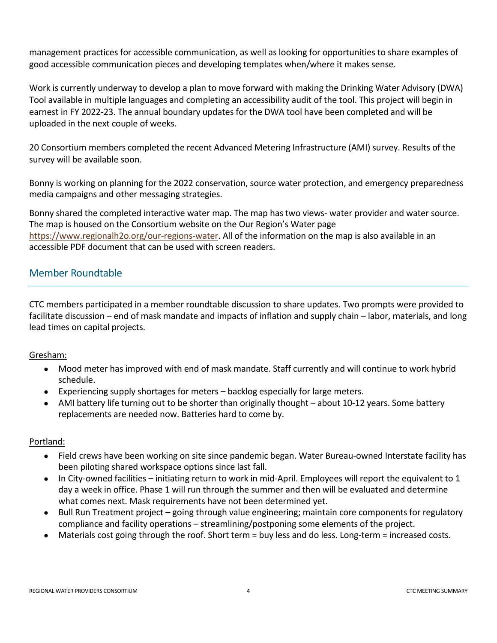management practices for accessible communication, as well as looking for opportunities to share examples of good accessible communication pieces and developing templates when/where it makes sense.

Work is currently underway to develop a plan to move forward with making the Drinking Water Advisory (DWA) Tool available in multiple languages and completing an accessibility audit of the tool. This project will begin in earnest in FY 2022-23. The annual boundary updates for the DWA tool have been completed and will be uploaded in the next couple of weeks.

20 Consortium members completed the recent Advanced Metering Infrastructure (AMI) survey. Results of the survey will be available soon.

Bonny is working on planning for the 2022 conservation, source water protection, and emergency preparedness media campaigns and other messaging strategies.

Bonny shared the completed interactive water map. The map has two views- water provider and water source. The map is housed on the Consortium website on the Our Region's Water page [https://www.regionalh2o.org/our-regions-water.](https://www.regionalh2o.org/our-regions-water) All of the information on the map is also available in an accessible PDF document that can be used with screen readers.

# Member Roundtable

CTC members participated in a member roundtable discussion to share updates. Two prompts were provided to facilitate discussion – end of mask mandate and impacts of inflation and supply chain – labor, materials, and long lead times on capital projects.

## Gresham:

- Mood meter has improved with end of mask mandate. Staff currently and will continue to work hybrid schedule.
- Experiencing supply shortages for meters backlog especially for large meters.
- AMI battery life turning out to be shorter than originally thought about 10-12 years. Some battery replacements are needed now. Batteries hard to come by.

## Portland:

- Field crews have been working on site since pandemic began. Water Bureau-owned Interstate facility has been piloting shared workspace options since last fall.
- In City-owned facilities initiating return to work in mid-April. Employees will report the equivalent to 1 day a week in office. Phase 1 will run through the summer and then will be evaluated and determine what comes next. Mask requirements have not been determined yet.
- Bull Run Treatment project going through value engineering; maintain core components for regulatory compliance and facility operations – streamlining/postponing some elements of the project.
- Materials cost going through the roof. Short term = buy less and do less. Long-term = increased costs.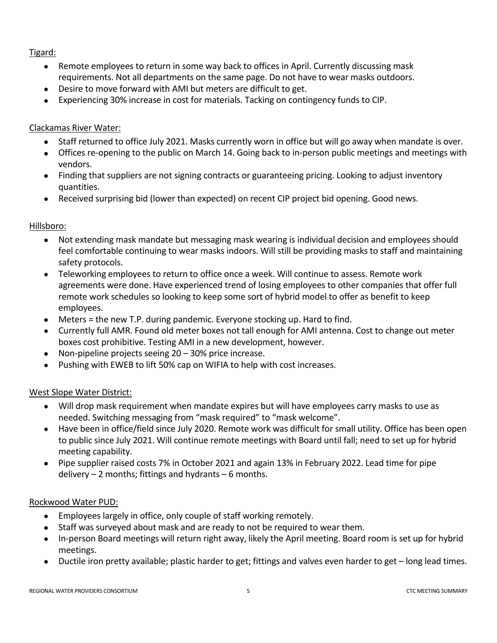## Tigard:

- Remote employees to return in some way back to offices in April. Currently discussing mask requirements. Not all departments on the same page. Do not have to wear masks outdoors.
- Desire to move forward with AMI but meters are difficult to get.
- Experiencing 30% increase in cost for materials. Tacking on contingency funds to CIP.

## Clackamas River Water:

- Staff returned to office July 2021. Masks currently worn in office but will go away when mandate is over.
- Offices re-opening to the public on March 14. Going back to in-person public meetings and meetings with vendors.
- Finding that suppliers are not signing contracts or guaranteeing pricing. Looking to adjust inventory quantities.
- Received surprising bid (lower than expected) on recent CIP project bid opening. Good news.

## Hillsboro:

- Not extending mask mandate but messaging mask wearing is individual decision and employees should feel comfortable continuing to wear masks indoors. Will still be providing masks to staff and maintaining safety protocols.
- Teleworking employees to return to office once a week. Will continue to assess. Remote work agreements were done. Have experienced trend of losing employees to other companies that offer full remote work schedules so looking to keep some sort of hybrid model to offer as benefit to keep employees.
- Meters = the new T.P. during pandemic. Everyone stocking up. Hard to find.
- Currently full AMR. Found old meter boxes not tall enough for AMI antenna. Cost to change out meter boxes cost prohibitive. Testing AMI in a new development, however.
- Non-pipeline projects seeing 20 30% price increase.
- Pushing with EWEB to lift 50% cap on WIFIA to help with cost increases.

## West Slope Water District:

- Will drop mask requirement when mandate expires but will have employees carry masks to use as needed. Switching messaging from "mask required" to "mask welcome".
- Have been in office/field since July 2020. Remote work was difficult for small utility. Office has been open to public since July 2021. Will continue remote meetings with Board until fall; need to set up for hybrid meeting capability.
- Pipe supplier raised costs 7% in October 2021 and again 13% in February 2022. Lead time for pipe delivery  $-2$  months; fittings and hydrants  $-6$  months.

## Rockwood Water PUD:

- Employees largely in office, only couple of staff working remotely.
- Staff was surveyed about mask and are ready to not be required to wear them.
- In-person Board meetings will return right away, likely the April meeting. Board room is set up for hybrid meetings.
- Ductile iron pretty available; plastic harder to get; fittings and valves even harder to get long lead times.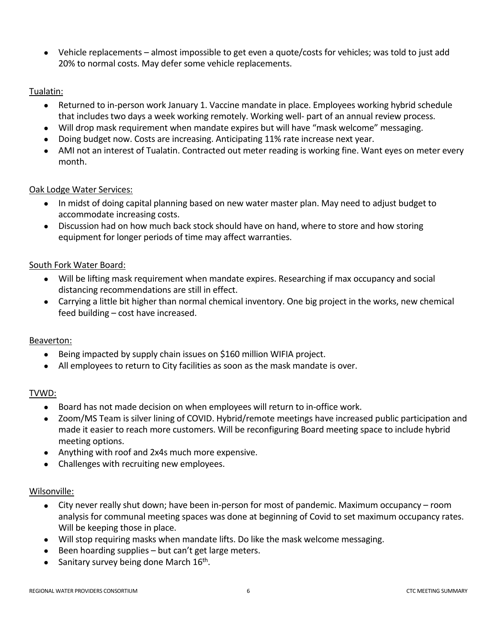• Vehicle replacements – almost impossible to get even a quote/costs for vehicles; was told to just add 20% to normal costs. May defer some vehicle replacements.

## Tualatin:

- Returned to in-person work January 1. Vaccine mandate in place. Employees working hybrid schedule that includes two days a week working remotely. Working well- part of an annual review process.
- Will drop mask requirement when mandate expires but will have "mask welcome" messaging.
- Doing budget now. Costs are increasing. Anticipating 11% rate increase next year.
- AMI not an interest of Tualatin. Contracted out meter reading is working fine. Want eyes on meter every month.

#### Oak Lodge Water Services:

- In midst of doing capital planning based on new water master plan. May need to adjust budget to accommodate increasing costs.
- Discussion had on how much back stock should have on hand, where to store and how storing equipment for longer periods of time may affect warranties.

#### South Fork Water Board:

- Will be lifting mask requirement when mandate expires. Researching if max occupancy and social distancing recommendations are still in effect.
- Carrying a little bit higher than normal chemical inventory. One big project in the works, new chemical feed building – cost have increased.

#### Beaverton:

- Being impacted by supply chain issues on \$160 million WIFIA project.
- All employees to return to City facilities as soon as the mask mandate is over.

## TVWD:

- Board has not made decision on when employees will return to in-office work.
- Zoom/MS Team is silver lining of COVID. Hybrid/remote meetings have increased public participation and made it easier to reach more customers. Will be reconfiguring Board meeting space to include hybrid meeting options.
- Anything with roof and 2x4s much more expensive.
- Challenges with recruiting new employees.

#### Wilsonville:

- City never really shut down; have been in-person for most of pandemic. Maximum occupancy room analysis for communal meeting spaces was done at beginning of Covid to set maximum occupancy rates. Will be keeping those in place.
- Will stop requiring masks when mandate lifts. Do like the mask welcome messaging.
- Been hoarding supplies but can't get large meters.
- Sanitary survey being done March 16<sup>th</sup>.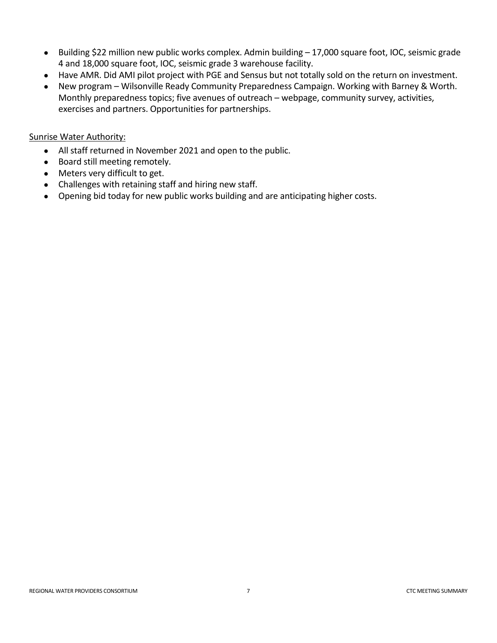- Building \$22 million new public works complex. Admin building 17,000 square foot, IOC, seismic grade 4 and 18,000 square foot, IOC, seismic grade 3 warehouse facility.
- Have AMR. Did AMI pilot project with PGE and Sensus but not totally sold on the return on investment.
- New program Wilsonville Ready Community Preparedness Campaign. Working with Barney & Worth. Monthly preparedness topics; five avenues of outreach – webpage, community survey, activities, exercises and partners. Opportunities for partnerships.

#### Sunrise Water Authority:

- All staff returned in November 2021 and open to the public.
- Board still meeting remotely.
- Meters very difficult to get.
- Challenges with retaining staff and hiring new staff.
- Opening bid today for new public works building and are anticipating higher costs.